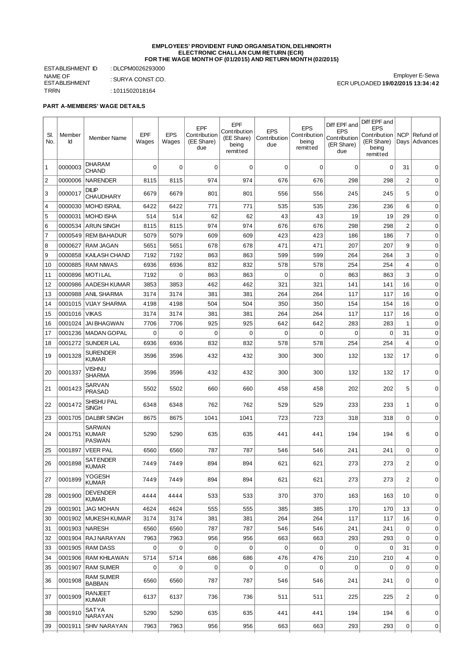#### **EMPLOYEES' PROVIDENT FUND ORGANISATION, DELHINORTH ELECTRONIC CHALLAN CUM RETURN (ECR) FOR THE WAGE MONTH OF (01/2015) AND RETURN MONTH (02/2015)**

ESTABLISHMENT ID : DLCPM0026293000 NAME OF ESTABLISHMENT<br>TRRN : SURYA CONST.CO.  $: 1011502018164$ 

Employer E-Sewa ECR UPLOADED **19/02/2015 13:34:42**

## **PART A-MEMBERS' WAGE DETAILS**

| SI.            | Member  | <b>Member Name</b>                      | EPF         | <b>EPS</b> | <b>EPF</b><br>Contribution | <b>EPF</b><br>Contribution<br>(EE Share) | <b>EPS</b><br>Contribution | <b>EPS</b><br>Contribution | Diff EPF and<br><b>EPS</b><br>Contribution | Diff EPF and<br><b>EPS</b><br>Contribution | <b>NCP</b>              | Refund of       |
|----------------|---------|-----------------------------------------|-------------|------------|----------------------------|------------------------------------------|----------------------------|----------------------------|--------------------------------------------|--------------------------------------------|-------------------------|-----------------|
| No.            | Id      |                                         | Wages       | Wages      | (EE Share)<br>due          | being<br>remitted                        | due                        | being<br>remitted          | (ER Share)<br>due                          | (ER Share)<br>being<br>remitted            |                         | Days   Advances |
| $\mathbf{1}$   | 0000003 | <b>DHARAM</b><br><b>CHAND</b>           | 0           | 0          | 0                          | 0                                        | 0                          | 0                          | $\Omega$                                   | 0                                          | 31                      | 0               |
| $\overline{c}$ | 0000006 | <b>NARENDER</b>                         | 8115        | 8115       | 974                        | 974                                      | 676                        | 676                        | 298                                        | 298                                        | $\overline{\mathbf{c}}$ | $\mathbf 0$     |
| 3              | 0000017 | <b>DILIP</b><br><b>CHAUDHARY</b>        | 6679        | 6679       | 801                        | 801                                      | 556                        | 556                        | 245                                        | 245                                        | 5                       | 0               |
| $\overline{4}$ | 0000030 | <b>MOHD ISRAIL</b>                      | 6422        | 6422       | 771                        | 771                                      | 535                        | 535                        | 236                                        | 236                                        | 6                       | $\mathbf 0$     |
| 5              | 0000031 | MOHD ISHA                               | 514         | 514        | 62                         | 62                                       | 43                         | 43                         | 19                                         | 19                                         | 29                      | 0               |
| 6              | 0000534 | <b>ARUN SINGH</b>                       | 8115        | 8115       | 974                        | 974                                      | 676                        | 676                        | 298                                        | 298                                        | $\overline{\mathbf{c}}$ | 0               |
| $\overline{7}$ | 0000549 | <b>REM BAHADUR</b>                      | 5079        | 5079       | 609                        | 609                                      | 423                        | 423                        | 186                                        | 186                                        | $\overline{7}$          | $\mathbf 0$     |
| 8              | 0000627 | <b>RAM JAGAN</b>                        | 5651        | 5651       | 678                        | 678                                      | 471                        | 471                        | 207                                        | 207                                        | 9                       | 0               |
| 9              | 0000858 | <b>KAILASH CHAND</b>                    | 7192        | 7192       | 863                        | 863                                      | 599                        | 599                        | 264                                        | 264                                        | 3                       | $\mathbf 0$     |
| 10             | 0000885 | <b>RAM NIWAS</b>                        | 6936        | 6936       | 832                        | 832                                      | 578                        | 578                        | 254                                        | 254                                        | 4                       | 0               |
| 11             | 0000896 | MOTILAL                                 | 7192        | 0          | 863                        | 863                                      | 0                          | 0                          | 863                                        | 863                                        | 3                       | 0               |
| 12             | 0000986 | AADESH KUMAR                            | 3853        | 3853       | 462                        | 462                                      | 321                        | 321                        | 141                                        | 141                                        | 16                      | 0               |
| 13             | 0000988 | <b>ANIL SHARMA</b>                      | 3174        | 3174       | 381                        | 381                                      | 264                        | 264                        | 117                                        | 117                                        | 16                      | 0               |
| 14             | 0001015 | <b>VIJAY SHARMA</b>                     | 4198        | 4198       | 504                        | 504                                      | 350                        | 350                        | 154                                        | 154                                        | 16                      | 0               |
| 15             | 0001016 | <b>VIKAS</b>                            | 3174        | 3174       | 381                        | 381                                      | 264                        | 264                        | 117                                        | 117                                        | 16                      | $\mathbf 0$     |
| 16             | 0001024 | <b>JAI BHAGWAN</b>                      | 7706        | 7706       | 925                        | 925                                      | 642                        | 642                        | 283                                        | 283                                        | 1                       | 0               |
| 17             | 0001236 | MADAN GOPAL                             | 0           | 0          | 0                          | 0                                        | 0                          | 0                          | 0                                          | 0                                          | 31                      | 0               |
| 18             | 0001272 | <b>SUNDER LAL</b>                       | 6936        | 6936       | 832                        | 832                                      | 578                        | 578                        | 254                                        | 254                                        | 4                       | $\mathbf 0$     |
| 19             | 0001328 | SURENDER<br><b>KUMAR</b>                | 3596        | 3596       | 432                        | 432                                      | 300                        | 300                        | 132                                        | 132                                        | 17                      | 0               |
| 20             | 0001337 | VISHNU<br><b>SHARMA</b>                 | 3596        | 3596       | 432                        | 432                                      | 300                        | 300                        | 132                                        | 132                                        | 17                      | 0               |
| 21             | 0001423 | SARVAN<br><b>PRASAD</b>                 | 5502        | 5502       | 660                        | 660                                      | 458                        | 458                        | 202                                        | 202                                        | 5                       | 0               |
| 22             | 0001472 | <b>SHISHU PAL</b><br><b>SINGH</b>       | 6348        | 6348       | 762                        | 762                                      | 529                        | 529                        | 233                                        | 233                                        | 1                       | $\mathbf 0$     |
| 23             | 0001705 | <b>DALBIR SINGH</b>                     | 8675        | 8675       | 1041                       | 1041                                     | 723                        | 723                        | 318                                        | 318                                        | $\mathbf 0$             | 0               |
| 24             | 0001751 | <b>SARWAN</b><br>KUMAR<br><b>PASWAN</b> | 5290        | 5290       | 635                        | 635                                      | 441                        | 441                        | 194                                        | 194                                        | 6                       | 0               |
| 25             | 0001897 | <b>VEER PAL</b>                         | 6560        | 6560       | 787                        | 787                                      | 546                        | 546                        | 241                                        | 241                                        | 0                       | 0               |
| 26             | 0001898 | <b>SATENDER</b><br><b>KUMAR</b>         | 7449        | 7449       | 894                        | 894                                      | 621                        | 621                        | 273                                        | 273                                        | $\overline{c}$          | 0               |
| 27             | 0001899 | YOGESH<br><b>KUMAR</b>                  | 7449        | 7449       | 894                        | 894                                      | 621                        | 621                        | 273                                        | 273                                        | $\overline{c}$          | 0               |
| 28             | 0001900 | <b>DEVENDER</b><br><b>KUMAR</b>         | 4444        | 4444       | 533                        | 533                                      | 370                        | 370                        | 163                                        | 163                                        | 10                      | 0               |
| 29             | 0001901 | <b>JAG MOHAN</b>                        | 4624        | 4624       | 555                        | 555                                      | 385                        | 385                        | 170                                        | 170                                        | 13                      | 0               |
| 30             | 0001902 | <b>IMUKESH KUMAR</b>                    | 3174        | 3174       | 381                        | 381                                      | 264                        | 264                        | 117                                        | 117                                        | 16                      | 0               |
| 31             | 0001903 | <b>NARESH</b>                           | 6560        | 6560       | 787                        | 787                                      | 546                        | 546                        | 241                                        | 241                                        | $\mathbf 0$             | 0               |
| 32             | 0001904 | RAJ NARAYAN                             | 7963        | 7963       | 956                        | 956                                      | 663                        | 663                        | 293                                        | 293                                        | $\mathbf 0$             | $\pmb{0}$       |
| 33             | 0001905 | <b>RAM DASS</b>                         | $\mathbf 0$ | 0          | 0                          | 0                                        | 0                          | 0                          | 0                                          | 0                                          | 31                      | $\mathbf 0$     |
| 34             | 0001906 | <b>RAM KHILAWAN</b>                     | 5714        | 5714       | 686                        | 686                                      | 476                        | 476                        | 210                                        | 210                                        | 4                       | $\pmb{0}$       |
| 35             | 0001907 | <b>RAM SUMER</b>                        | $\mathbf 0$ | $\Omega$   | $\mathbf 0$                | $\mathbf 0$                              | 0                          | 0                          | 0                                          | 0                                          | $\Omega$                | $\mathbf 0$     |
| 36             | 0001908 | RAM SUMER<br><b>BABBAN</b>              | 6560        | 6560       | 787                        | 787                                      | 546                        | 546                        | 241                                        | 241                                        | 0                       | 0               |
| 37             | 0001909 | <b>RANJEET</b><br><b>KUMAR</b>          | 6137        | 6137       | 736                        | 736                                      | 511                        | 511                        | 225                                        | 225                                        | 2                       | 0               |
| 38             | 0001910 | SATYA<br><b>NARAYAN</b>                 | 5290        | 5290       | 635                        | 635                                      | 441                        | 441                        | 194                                        | 194                                        | 6                       | 0               |
| 39             | 0001911 | <b>SHIV NARAYAN</b>                     | 7963        | 7963       | 956                        | 956                                      | 663                        | 663                        | 293                                        | 293                                        | 0                       | 0               |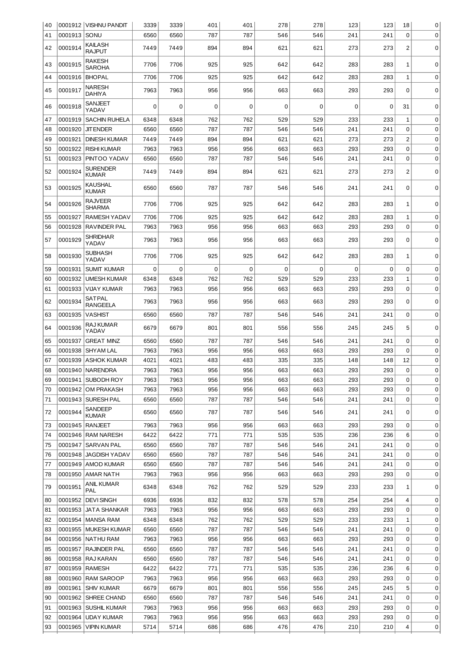| 40       |                    | 0001912   VISHNU PANDIT          | 3339         | 3339         | 401        | 401         | 278        | 278        | 123         | 123        | 18                      | 0           |
|----------|--------------------|----------------------------------|--------------|--------------|------------|-------------|------------|------------|-------------|------------|-------------------------|-------------|
| 41       | 0001913            | <b>SONU</b>                      | 6560         | 6560         | 787        | 787         | 546        | 546        | 241         | 241        | $\overline{0}$          | 0           |
| 42       | 0001914            | <b>KAILASH</b><br><b>RAJPUT</b>  | 7449         | 7449         | 894        | 894         | 621        | 621        | 273         | 273        | 2                       | 0           |
| 43       | 0001915            | <b>RAKESH</b><br><b>SAROHA</b>   | 7706         | 7706         | 925        | 925         | 642        | 642        | 283         | 283        | 1                       | 0           |
| 44       | 0001916            | <b>BHOPAL</b>                    | 7706         | 7706         | 925        | 925         | 642        | 642        | 283         | 283        | 1                       | 0           |
| 45       | 0001917            | <b>NARESH</b><br><b>DAHIYA</b>   | 7963         | 7963         | 956        | 956         | 663        | 663        | 293         | 293        | 0                       | 0           |
| 46       | 0001918            | <b>SANJEET</b><br>YADAV          | 0            | 0            | 0          | 0           | $\Omega$   | 0          | $\Omega$    | 0          | 31                      | 0           |
| 47       | 0001919            | <b>SACHIN RUHELA</b>             | 6348         | 6348         | 762        | 762         | 529        | 529        | 233         | 233        | 1                       | 0           |
| 48       | 0001920            | <b>JIT ENDER</b>                 | 6560         | 6560         | 787        | 787         | 546        | 546        | 241         | 241        | $\Omega$                | $\mathbf 0$ |
| 49       | 0001921            | <b>DINESH KUMAR</b>              | 7449         | 7449         | 894        | 894         | 621        | 621        | 273         | 273        | $\overline{\mathbf{c}}$ | 0           |
| 50       | 0001922            | <b>RISHI KUMAR</b>               | 7963         | 7963         | 956        | 956         | 663        | 663        | 293         | 293        | 0                       | $\mathbf 0$ |
| 51       | 0001923            | PINTOO YADAV                     | 6560         | 6560         | 787        | 787         | 546        | 546        | 241         | 241        | 0                       | 0           |
| 52       | 0001924            | <b>SURENDER</b><br><b>KUMAR</b>  | 7449         | 7449         | 894        | 894         | 621        | 621        | 273         | 273        | $\overline{c}$          | $\mathbf 0$ |
| 53       | 0001925            | <b>KAUSHAL</b><br><b>KUMAR</b>   | 6560         | 6560         | 787        | 787         | 546        | 546        | 241         | 241        | 0                       | 0           |
| 54       | 0001926            | <b>RAJVEER</b><br><b>SHARMA</b>  | 7706         | 7706         | 925        | 925         | 642        | 642        | 283         | 283        | 1                       | 0           |
| 55       | 0001927            | <b>RAMESH YADAV</b>              | 7706         | 7706         | 925        | 925         | 642        | 642        | 283         | 283        | 1                       | 0           |
| 56       | 0001928            | <b>RAVINDER PAL</b>              | 7963         | 7963         | 956        | 956         | 663        | 663        | 293         | 293        | $\mathbf 0$             | 0           |
| 57       | 0001929            | <b>SHRIDHAR</b><br>YADAV         | 7963         | 7963         | 956        | 956         | 663        | 663        | 293         | 293        | 0                       | $\mathbf 0$ |
| 58       | 0001930            | <b>SUBHASH</b><br>YADAV          | 7706         | 7706         | 925        | 925         | 642        | 642        | 283         | 283        | 1                       | 0           |
| 59       | 0001931            | <b>SUMIT KUMAR</b>               | 0            | $\Omega$     | 0          | $\mathbf 0$ | 0          | 0          | $\mathbf 0$ | 0          | $\mathbf 0$             | 0           |
| 60       | 0001932            | <b>UMESH KUMAR</b>               | 6348         | 6348         | 762        | 762         | 529        | 529        | 233         | 233        | 1                       | 0           |
| 61       | 0001933            | <b>VIJAY KUMAR</b>               | 7963         | 7963         | 956        | 956         | 663        | 663        | 293         | 293        | 0                       | 0           |
| 62       | 0001934            | <b>SATPAL</b><br><b>RANGEELA</b> | 7963         | 7963         | 956        | 956         | 663        | 663        | 293         | 293        | 0                       | 0           |
| 63       | 0001935            | <b>VASHIST</b>                   | 6560         | 6560         | 787        | 787         | 546        | 546        | 241         | 241        | 0                       | $\mathbf 0$ |
| 64       | 0001936            | <b>RAJ KUMAR</b><br>YADAV        | 6679         | 6679         | 801        | 801         | 556        | 556        | 245         | 245        | 5                       | 0           |
| 65       | 0001937            | <b>GREAT MINZ</b>                | 6560         | 6560         | 787        | 787         | 546        | 546        | 241         | 241        | 0                       | 0           |
| 66       | 0001938            | <b>SHYAM LAL</b>                 | 7963         | 7963         | 956        | 956         | 663        | 663        | 293         | 293        | 0                       | 0           |
| 67       | 0001939            | <b>ASHOK KUMAR</b>               | 4021         | 4021         | 483        | 483         | 335        | 335        | 148         | 148        | 12                      | 0           |
| 68       |                    | 0001940 NARENDRA                 | 7963         | 7963         | 956        | 956         | 663        | 663        | 293         | 293        | 0                       | $\Omega$    |
| 69       |                    | 0001941 SUBODH ROY               | 7963         | 7963         | 956        | 956         | 663        | 663        | 293         | 293        | 0                       | 0           |
| 70       |                    | 0001942   OM PRAKASH             | 7963         | 7963         | 956        | 956         | 663        | 663        | 293         | 293        | 0                       | 0           |
| 71       |                    | 0001943   SURESH PAL             | 6560         | 6560         | 787        | 787         | 546        | 546        | 241         | 241        | 0                       | 0           |
| 72       | 0001944            | SANDEEP<br><b>KUMAR</b>          | 6560         | 6560         | 787        | 787         | 546        | 546        | 241         | 241        | 0                       | 0           |
| 73       |                    | 0001945 RANJEET                  | 7963         | 7963         | 956        | 956         | 663        | 663        | 293         | 293        | 0                       | 0           |
| 74       |                    | 0001946 RAM NARESH               | 6422         | 6422         | 771        | 771         | 535        | 535        | 236         | 236        | 6                       | 0           |
| 75       | 0001947            | SARVAN PAL                       | 6560         | 6560         | 787        | 787         | 546        | 546        | 241         | 241        | 0                       | 0           |
| 76       |                    | 0001948 JAGDISH YADAV            | 6560         | 6560         | 787        | 787         | 546        | 546        | 241         | 241        | 0                       | 0           |
| 77       |                    | 0001949 AMOD KUMAR               | 6560         | 6560         | 787        | 787         | 546        | 546        | 241         | 241        | 0                       | 0           |
| 78<br>79 | 0001950<br>0001951 | AMAR NATH<br><b>ANIL KUMAR</b>   | 7963<br>6348 | 7963<br>6348 | 956<br>762 | 956<br>762  | 663<br>529 | 663<br>529 | 293<br>233  | 293<br>233 | $\mathbf 0$<br>1        | 0<br>0      |
| 80       | 0001952            | <b>PAL</b><br><b>DEVI SINGH</b>  | 6936         | 6936         | 832        | 832         | 578        | 578        | 254         | 254        | 4                       | 0           |
| 81       | 0001953            | JATA SHANKAR                     | 7963         | 7963         | 956        | 956         | 663        | 663        | 293         | 293        | 0                       | 0           |
| 82       |                    | 0001954   MANSA RAM              | 6348         | 6348         | 762        | 762         | 529        | 529        | 233         | 233        | 1                       | 0           |
| 83       |                    | 0001955   MUKESH KUMAR           | 6560         | 6560         | 787        | 787         | 546        | 546        | 241         | 241        | $\mathbf 0$             | 0           |
| 84       |                    | 0001956 NATHU RAM                | 7963         | 7963         | 956        | 956         | 663        | 663        | 293         | 293        | $\mathbf 0$             | 0           |
| 85       | 0001957            | RAJINDER PAL                     | 6560         | 6560         | 787        | 787         | 546        | 546        | 241         | 241        | 0                       | 0           |
| 86       | 0001958            | RAJ KARAN                        | 6560         | 6560         | 787        | 787         | 546        | 546        | 241         | 241        | $\mathbf 0$             | 0           |
| 87       | 0001959            | RAMESH                           | 6422         | 6422         | 771        | 771         | 535        | 535        | 236         | 236        | 6                       | 0           |
| 88       | 0001960            | RAM SAROOP                       | 7963         | 7963         | 956        | 956         | 663        | 663        | 293         | 293        | 0                       | 0           |
| 89       | 0001961            | <b>SHIV KUMAR</b>                | 6679         | 6679         | 801        | 801         | 556        | 556        | 245         | 245        | 5                       | 0           |
| 90       |                    | 0001962   SHREE CHAND            | 6560         | 6560         | 787        | 787         | 546        | 546        | 241         | 241        | $\mathbf 0$             | 0           |
| 91       |                    | 0001963   SUSHIL KUMAR           | 7963         | 7963         | 956        | 956         | 663        | 663        | 293         | 293        | 0                       | 0           |
| 92       | 0001964            | UDAY KUMAR                       | 7963         | 7963         | 956        | 956         | 663        | 663        | 293         | 293        | 0                       | 0           |
| 93       | 0001965            | <b>VIPIN KUMAR</b>               | 5714         | 5714         | 686        | 686         | 476        | 476        | 210         | 210        | 4                       | $\pmb{0}$   |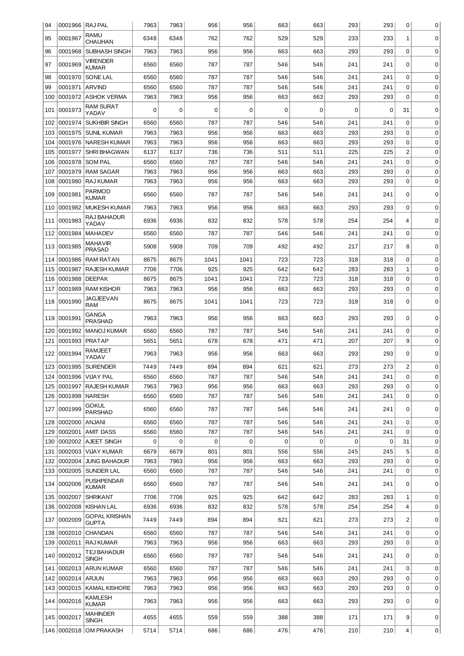| 94  | 0001966 RAJ PAL |                                 | 7963 | 7963 | 956  | 956  | 663 | 663 | 293 | 293 | 0              | 0           |
|-----|-----------------|---------------------------------|------|------|------|------|-----|-----|-----|-----|----------------|-------------|
| 95  | 0001967         | RAMU<br><b>CHAUHAN</b>          | 6348 | 6348 | 762  | 762  | 529 | 529 | 233 | 233 | 1              | 0           |
| 96  | 0001968         | <b>SUBHASH SINGH</b>            | 7963 | 7963 | 956  | 956  | 663 | 663 | 293 | 293 | 0              | 0           |
| 97  | 0001969         | <b>VIRENDER</b>                 | 6560 | 6560 | 787  | 787  | 546 | 546 | 241 | 241 | 0              | 0           |
| 98  | 0001970         | <b>KUMAR</b><br><b>SONE LAL</b> | 6560 | 6560 | 787  | 787  | 546 | 546 | 241 | 241 | $\mathbf 0$    | 0           |
| 99  | 0001971         | <b>ARVIND</b>                   | 6560 | 6560 | 787  | 787  | 546 | 546 | 241 | 241 | $\mathbf 0$    | 0           |
|     |                 |                                 |      |      |      |      |     |     |     |     | 0              |             |
| 100 | 0001972         | <b>ASHOK VERMA</b>              | 7963 | 7963 | 956  | 956  | 663 | 663 | 293 | 293 |                | 0           |
| 101 | 0001973         | <b>RAM SURAT</b><br>YADAV       | 0    | 0    | 0    | 0    | 0   | 0   | 0   | 0   | 31             | 0           |
| 102 | 0001974         | <b>SUKHBIR SINGH</b>            | 6560 | 6560 | 787  | 787  | 546 | 546 | 241 | 241 | $\mathbf 0$    | 0           |
| 103 | 0001975         | SUNIL KUMAR                     | 7963 | 7963 | 956  | 956  | 663 | 663 | 293 | 293 | 0              | 0           |
| 104 | 0001976         | NARESH KUMAR                    | 7963 | 7963 | 956  | 956  | 663 | 663 | 293 | 293 | $\mathbf 0$    | 0           |
| 105 | 0001977         | <b>SHRI BHAGWAN</b>             | 6137 | 6137 | 736  | 736  | 511 | 511 | 225 | 225 | $\overline{c}$ | 0           |
| 106 | 0001978         | <b>SOM PAL</b>                  | 6560 | 6560 | 787  | 787  | 546 | 546 | 241 | 241 | $\mathbf 0$    | 0           |
| 107 | 0001979         | <b>RAM SAGAR</b>                | 7963 | 7963 | 956  | 956  | 663 | 663 | 293 | 293 | 0              | 0           |
| 108 | 0001980         | <b>RAJ KUMAR</b>                | 7963 | 7963 | 956  | 956  | 663 | 663 | 293 | 293 | $\mathbf 0$    | $\mathbf 0$ |
| 109 | 0001981         | <b>PARMOD</b><br><b>KUMAR</b>   | 6560 | 6560 | 787  | 787  | 546 | 546 | 241 | 241 | 0              | $\mathbf 0$ |
| 110 | 0001982         | MUKESH KUMAR                    | 7963 | 7963 | 956  | 956  | 663 | 663 | 293 | 293 | $\mathbf 0$    | $\mathbf 0$ |
| 111 | 0001983         | RAJ BAHADUR                     | 6936 | 6936 | 832  | 832  | 578 | 578 | 254 | 254 | 4              | 0           |
| 112 | 0001984         | YADAV<br><b>MAHADEV</b>         | 6560 | 6560 | 787  | 787  | 546 | 546 | 241 | 241 | 0              | 0           |
| 113 | 0001985         | <b>MAHAVIR</b>                  | 5908 | 5908 | 709  | 709  | 492 | 492 | 217 | 217 | 8              | $\mathbf 0$ |
|     |                 | <b>PRASAD</b>                   |      |      |      |      |     |     |     |     |                |             |
| 114 | 0001986         | <b>RAM RATAN</b>                | 8675 | 8675 | 1041 | 1041 | 723 | 723 | 318 | 318 | $\mathbf 0$    | 0           |
| 115 | 0001987         | <b>RAJESH KUMAR</b>             | 7706 | 7706 | 925  | 925  | 642 | 642 | 283 | 283 | $\mathbf{1}$   | 0           |
| 116 | 0001988         | <b>DEEPAK</b>                   | 8675 | 8675 | 1041 | 1041 | 723 | 723 | 318 | 318 | 0              | 0           |
| 117 | 0001989         | <b>RAM KISHOR</b>               | 7963 | 7963 | 956  | 956  | 663 | 663 | 293 | 293 | 0              | $\mathbf 0$ |
| 118 | 0001990         | <b>JAGJEEVAN</b><br><b>RAM</b>  | 8675 | 8675 | 1041 | 1041 | 723 | 723 | 318 | 318 | 0              | $\mathbf 0$ |
| 119 | 0001991         | <b>GANGA</b><br><b>PRASHAD</b>  | 7963 | 7963 | 956  | 956  | 663 | 663 | 293 | 293 | 0              | 0           |
| 120 | 0001992         | <b>IMANOJ KUMAR</b>             | 6560 | 6560 | 787  | 787  | 546 | 546 | 241 | 241 | 0              | $\mathbf 0$ |
| 121 | 0001993         | <b>PRATAP</b>                   | 5651 | 5651 | 678  | 678  | 471 | 471 | 207 | 207 | 9              | $\mathbf 0$ |
| 122 | 0001994         | RAMJEET<br>YADAV                | 7963 | 7963 | 956  | 956  | 663 | 663 | 293 | 293 | 0              | 0           |
| 123 | 0001995         | <b>SURENDER</b>                 | 7449 | 7449 | 894  | 894  | 621 | 621 | 273 | 273 | $\overline{c}$ | $\mathbf 0$ |
| 124 |                 | 0001996   VIJAY PAL             | 6560 | 6560 | 787  | 787  | 546 | 546 | 241 | 241 | 0              | 0           |
| 125 | 0001997         | <b>RAJESH KUMAR</b>             | 7963 | 7963 | 956  | 956  | 663 | 663 | 293 | 293 | $\Omega$       | 0           |
| 126 | 0001998         | <b>NARESH</b>                   | 6560 | 6560 | 787  | 787  | 546 | 546 | 241 | 241 | 0              | 0           |
| 127 | 0001999         | <b>GOKUL</b><br><b>PARSHAD</b>  | 6560 | 6560 | 787  | 787  | 546 | 546 | 241 | 241 | 0              | 0           |
| 128 | 0002000         | <b>ANJANI</b>                   | 6560 | 6560 | 787  | 787  | 546 | 546 | 241 | 241 | 0              | 0           |
| 129 | 0002001         | AMIT DASS                       | 6560 | 6560 | 787  | 787  | 546 | 546 | 241 | 241 | 0              | 0           |
| 130 | 0002002         | AJEET SINGH                     | 0    | 0    | 0    | 0    | 0   | 0   | 0   | 0   | 31             | 0           |
| 131 | 0002003         | VIJAY KUMAR                     | 6679 | 6679 | 801  | 801  | 556 | 556 | 245 | 245 | 5              | 0           |
| 132 | 0002004         | <b>JUNG BAHADUR</b>             | 7963 | 7963 | 956  | 956  | 663 | 663 | 293 | 293 | $\mathbf 0$    | 0           |
| 133 | 0002005         | <b>SUNDER LAL</b>               | 6560 | 6560 | 787  | 787  | 546 | 546 | 241 | 241 | 0              | 0           |
| 134 | 0002006         | <b>PUSHPENDAR</b>               | 6560 | 6560 | 787  | 787  | 546 | 546 | 241 | 241 | 0              | 0           |
| 135 | 0002007         | <b>KUMAR</b><br><b>SHRIKANT</b> | 7706 | 7706 | 925  | 925  | 642 | 642 | 283 | 283 | 1              | 0           |
| 136 | 0002008         | <b>KISHAN LAL</b>               | 6936 | 6936 | 832  | 832  | 578 | 578 | 254 | 254 | 4              | $\mathbf 0$ |
|     |                 | <b>GOPAL KRISHAN</b>            |      |      |      |      |     |     |     |     |                |             |
| 137 | 0002009         | <b>GUPTA</b>                    | 7449 | 7449 | 894  | 894  | 621 | 621 | 273 | 273 | 2              | 0           |
| 138 | 0002010         | <b>CHANDAN</b>                  | 6560 | 6560 | 787  | 787  | 546 | 546 | 241 | 241 | 0              | 0           |
| 139 | 0002011         | <b>RAJ KUMAR</b>                | 7963 | 7963 | 956  | 956  | 663 | 663 | 293 | 293 | $\mathbf 0$    | 0           |
| 140 | 0002012         | TEJ BAHADUR<br><b>SINGH</b>     | 6560 | 6560 | 787  | 787  | 546 | 546 | 241 | 241 | 0              | 0           |
| 141 | 0002013         | ARUN KUMAR                      | 6560 | 6560 | 787  | 787  | 546 | 546 | 241 | 241 | $\mathbf 0$    | 0           |
| 142 | 0002014         | ARJUN                           | 7963 | 7963 | 956  | 956  | 663 | 663 | 293 | 293 | 0              | 0           |
| 143 | 0002015         | KAMAL KISHORE                   | 7963 | 7963 | 956  | 956  | 663 | 663 | 293 | 293 | 0              | 0           |
| 144 | 0002016         | <b>KAMLESH</b><br><b>KUMAR</b>  | 7963 | 7963 | 956  | 956  | 663 | 663 | 293 | 293 | 0              | 0           |
|     | 145 0002017     | <b>MAHINDER</b><br><b>SINGH</b> | 4655 | 4655 | 559  | 559  | 388 | 388 | 171 | 171 | 9              | 0           |
|     |                 | 146 0002018 OM PRAKASH          | 5714 | 5714 | 686  | 686  | 476 | 476 | 210 | 210 | 4              | 0           |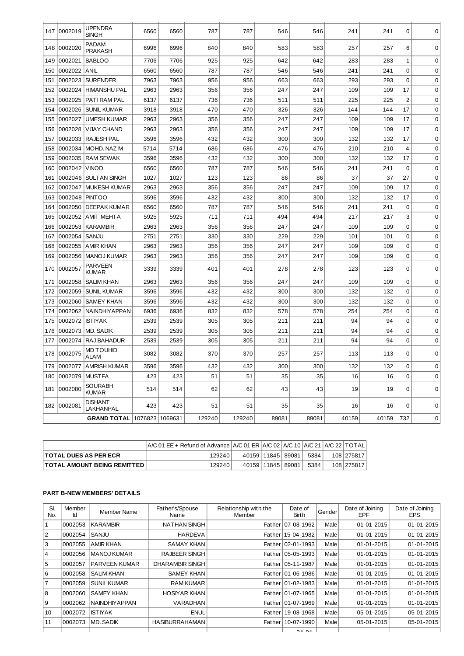| 147 | 0002019 | <b>UPENDRA</b><br><b>SINGH</b>  | 6560 | 6560 | 787    | 787    | 546   | 546   | 241   | 241   | $\Omega$       | $\Omega$    |
|-----|---------|---------------------------------|------|------|--------|--------|-------|-------|-------|-------|----------------|-------------|
| 148 | 0002020 | <b>PADAM</b><br><b>PRAKASH</b>  | 6996 | 6996 | 840    | 840    | 583   | 583   | 257   | 257   | 6              | 0           |
| 149 | 0002021 | <b>BABLOO</b>                   | 7706 | 7706 | 925    | 925    | 642   | 642   | 283   | 283   | 1              | $\mathbf 0$ |
| 150 | 0002022 | ANIL                            | 6560 | 6560 | 787    | 787    | 546   | 546   | 241   | 241   | $\mathbf 0$    | $\mathbf 0$ |
| 151 | 0002023 | <b>SURENDER</b>                 | 7963 | 7963 | 956    | 956    | 663   | 663   | 293   | 293   | $\mathbf 0$    | $\mathbf 0$ |
| 152 | 0002024 | <b>HIMANSHU PAL</b>             | 2963 | 2963 | 356    | 356    | 247   | 247   | 109   | 109   | 17             | $\mathbf 0$ |
| 153 | 0002025 | PATIRAM PAL                     | 6137 | 6137 | 736    | 736    | 511   | 511   | 225   | 225   | $\overline{2}$ | $\mathbf 0$ |
| 154 | 0002026 | <b>SUNIL KUMAR</b>              | 3918 | 3918 | 470    | 470    | 326   | 326   | 144   | 144   | 17             | $\mathbf 0$ |
| 155 | 0002027 | <b>UMESH KUMAR</b>              | 2963 | 2963 | 356    | 356    | 247   | 247   | 109   | 109   | 17             | $\mathbf 0$ |
| 156 | 0002028 | <b>VIJAY CHAND</b>              | 2963 | 2963 | 356    | 356    | 247   | 247   | 109   | 109   | 17             | $\mathbf 0$ |
| 157 | 0002033 | <b>RAJESH PAL</b>               | 3596 | 3596 | 432    | 432    | 300   | 300   | 132   | 132   | 17             | $\mathbf 0$ |
| 158 | 0002034 | MOHD, NAZIM                     | 5714 | 5714 | 686    | 686    | 476   | 476   | 210   | 210   | $\overline{4}$ | $\mathbf 0$ |
| 159 | 0002035 | <b>RAM SEWAK</b>                | 3596 | 3596 | 432    | 432    | 300   | 300   | 132   | 132   | 17             | $\mathbf 0$ |
| 160 | 0002042 | <b>VINOD</b>                    | 6560 | 6560 | 787    | 787    | 546   | 546   | 241   | 241   | $\Omega$       | $\mathbf 0$ |
| 161 | 0002046 | I SULTAN SINGH                  | 1027 | 1027 | 123    | 123    | 86    | 86    | 37    | 37    | 27             | $\mathbf 0$ |
| 162 | 0002047 | <b>MUKESH KUMAR</b>             | 2963 | 2963 | 356    | 356    | 247   | 247   | 109   | 109   | 17             | $\mathbf 0$ |
| 163 | 0002048 | <b>PINTOO</b>                   | 3596 | 3596 | 432    | 432    | 300   | 300   | 132   | 132   | 17             | $\mathbf 0$ |
| 164 | 0002050 | <b>DEEPAK KUMAR</b>             | 6560 | 6560 | 787    | 787    | 546   | 546   | 241   | 241   | $\mathbf 0$    | $\mathbf 0$ |
| 165 | 0002052 | <b>AMIT MEHTA</b>               | 5925 | 5925 | 711    | 711    | 494   | 494   | 217   | 217   | 3              | $\mathbf 0$ |
| 166 | 0002053 | <b>KARAMBIR</b>                 | 2963 | 2963 | 356    | 356    | 247   | 247   | 109   | 109   | $\mathbf 0$    | $\mathbf 0$ |
| 167 | 0002054 | SANJU                           | 2751 | 2751 | 330    | 330    | 229   | 229   | 101   | 101   | $\mathbf 0$    | $\mathbf 0$ |
| 168 | 0002055 | AMIR KHAN                       | 2963 | 2963 | 356    | 356    | 247   | 247   | 109   | 109   | 0              | $\mathbf 0$ |
| 169 | 0002056 | <b>MANOJ KUMAR</b>              | 2963 | 2963 | 356    | 356    | 247   | 247   | 109   | 109   | $\mathbf 0$    | 0           |
| 170 | 0002057 | <b>PARVEEN</b><br><b>KUMAR</b>  | 3339 | 3339 | 401    | 401    | 278   | 278   | 123   | 123   | 0              | $\mathbf 0$ |
| 171 | 0002058 | <b>SALIM KHAN</b>               | 2963 | 2963 | 356    | 356    | 247   | 247   | 109   | 109   | $\mathbf 0$    | $\mathbf 0$ |
| 172 | 0002059 | <b>SUNIL KUMAR</b>              | 3596 | 3596 | 432    | 432    | 300   | 300   | 132   | 132   | $\mathsf 0$    | $\mathbf 0$ |
| 173 | 0002060 | <b>SAMEY KHAN</b>               | 3596 | 3596 | 432    | 432    | 300   | 300   | 132   | 132   | $\mathbf 0$    | $\mathbf 0$ |
| 174 | 0002062 | <b>NAINDHIYAPPAN</b>            | 6936 | 6936 | 832    | 832    | 578   | 578   | 254   | 254   | $\Omega$       | $\mathbf 0$ |
| 175 | 0002072 | <b>ISTIYAK</b>                  | 2539 | 2539 | 305    | 305    | 211   | 211   | 94    | 94    | 0              | $\mathbf 0$ |
| 176 | 0002073 | MD. SADIK                       | 2539 | 2539 | 305    | 305    | 211   | 211   | 94    | 94    | $\mathbf 0$    | $\mathbf 0$ |
| 177 | 0002074 | RAJ BAHADUR                     | 2539 | 2539 | 305    | 305    | 211   | 211   | 94    | 94    | $\mathbf 0$    | $\mathbf 0$ |
| 178 | 0002075 | MD TOUHID<br>ALAM               | 3082 | 3082 | 370    | 370    | 257   | 257   | 113   | 113   | 0              | 0           |
| 179 | 0002077 | <b>AMRISH KUMAR</b>             | 3596 | 3596 | 432    | 432    | 300   | 300   | 132   | 132   | $\mathbf 0$    | $\mathbf 0$ |
| 180 | 0002079 | <b>MUSTFA</b>                   | 423  | 423  | 51     | 51     | 35    | 35    | 16    | 16    | 0              | 0           |
| 181 | 0002080 | SOURABH<br><b>KUMAR</b>         | 514  | 514  | 62     | 62     | 43    | 43    | 19    | 19    | $\overline{0}$ | $\mathbf 0$ |
| 182 | 0002081 | <b>DISHANT</b><br>LAKHANPAL     | 423  | 423  | 51     | 51     | 35    | 35    | 16    | 16    | 0              | $\mathbf 0$ |
|     |         | GRAND TOTAL   1076823   1069631 |      |      | 129240 | 129240 | 89081 | 89081 | 40159 | 40159 | 732            | $\mathbf 0$ |

|                                      | $ A/C 01 EE + Refund of Advance   A/C 01 ER   A/C 02   A/C 10   A/C 21   A/C 22   TOTAL$ |                       |  |      |            |
|--------------------------------------|------------------------------------------------------------------------------------------|-----------------------|--|------|------------|
| <b>TOTAL DUES AS PER ECR</b>         | 129240                                                                                   | 40159   11845   89081 |  | 5384 | 108 275817 |
| <b>TOTAL AMOUNT BEING REMITTED  </b> | 129240                                                                                   | 40159   11845   89081 |  | 5384 | 108 275817 |

# **PART B-NEW MEMBERS' DETAILS**

| SI.<br>No.     | Member<br>Ιd | Member Name          | Father's/Spouse<br>Name | Relationship with the<br>Member | Date of<br><b>Birth</b> | Gender | Date of Joining<br><b>EPF</b> | Date of Joining<br><b>EPS</b> |
|----------------|--------------|----------------------|-------------------------|---------------------------------|-------------------------|--------|-------------------------------|-------------------------------|
| Ŧ              | 0002053      | <b>KARAMBIR</b>      | <b>NATHAN SINGH</b>     |                                 | Father 07-08-1962       | Male   | 01-01-2015                    | 01-01-2015                    |
| $\overline{2}$ | 0002054      | SANJU                | <b>HARDEVA</b>          |                                 | Father 15-04-1982       | Male   | 01-01-2015                    | 01-01-2015                    |
| 3              | 0002055      | <b>AMIR KHAN</b>     | <b>SAMAY KHAN</b>       |                                 | Father   02-01-1993     | Male   | 01-01-2015                    | 01-01-2015                    |
| $\overline{4}$ | 0002056      | <b>MANOJ KUMAR</b>   | <b>RAJBEER SINGH</b>    |                                 | Father   05-05-1993     | Male   | 01-01-2015                    | 01-01-2015                    |
| 5              | 0002057      | <b>PARVEEN KUMAR</b> | <b>DHARAMBIR SINGH</b>  |                                 | Father   05-11-1987     | Male   | 01-01-2015                    | 01-01-2015                    |
| l 6            | 0002058      | <b>SALIM KHAN</b>    | <b>SAMEY KHAN</b>       |                                 | Father   01-06-1986     | Male   | 01-01-2015                    | 01-01-2015                    |
| $\overline{7}$ | 0002059      | <b>SUNIL KUMAR</b>   | <b>RAM KUMAR</b>        |                                 | Father   01-02-1983     | Male   | 01-01-2015                    | 01-01-2015                    |
| 8              | 0002060      | <b>SAMEY KHAN</b>    | <b>HOSIYAR KHAN</b>     |                                 | Father 01-07-1965       | Male   | 01-01-2015                    | 01-01-2015                    |
| Ι9             | 0002062      | <b>NAINDHIYAPPAN</b> | <b>VARADHAN</b>         |                                 | Father   01-07-1969     | Male   | 01-01-2015                    | 01-01-2015                    |
| 10             | 0002072      | <b>ISTIYAK</b>       | <b>ENUL</b>             |                                 | Father   19-08-1968     | Male   | 05-01-2015                    | 05-01-2015                    |
| 11             | 0002073      | <b>MD. SADIK</b>     | <b>HASIBURRAHAMAN</b>   |                                 | Father   10-07-1990     | Male   | 05-01-2015                    | 05-01-2015                    |
|                |              |                      |                         |                                 | 24.04                   |        |                               |                               |